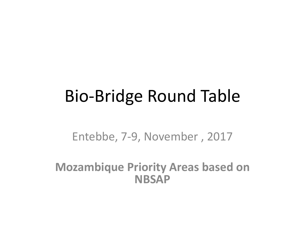## Bio-Bridge Round Table

Entebbe, 7-9, November , 2017

**Mozambique Priority Areas based on NBSAP**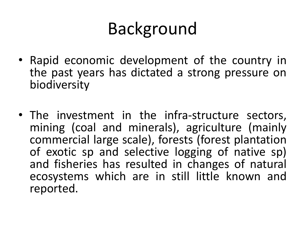# Background

- Rapid economic development of the country in the past years has dictated a strong pressure on biodiversity
- The investment in the infra-structure sectors, mining (coal and minerals), agriculture (mainly commercial large scale), forests (forest plantation of exotic sp and selective logging of native sp) and fisheries has resulted in changes of natural ecosystems which are in still little known and reported.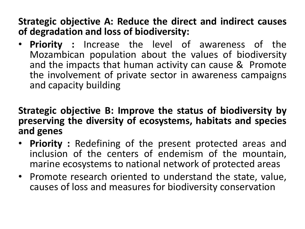#### **Strategic objective A: Reduce the direct and indirect causes of degradation and loss of biodiversity:**

• **Priority :** Increase the level of awareness of the Mozambican population about the values of biodiversity and the impacts that human activity can cause & Promote the involvement of private sector in awareness campaigns and capacity building

#### **Strategic objective B: Improve the status of biodiversity by preserving the diversity of ecosystems, habitats and species and genes**

- **Priority :** Redefining of the present protected areas and inclusion of the centers of endemism of the mountain, marine ecosystems to national network of protected areas
- Promote research oriented to understand the state, value, causes of loss and measures for biodiversity conservation